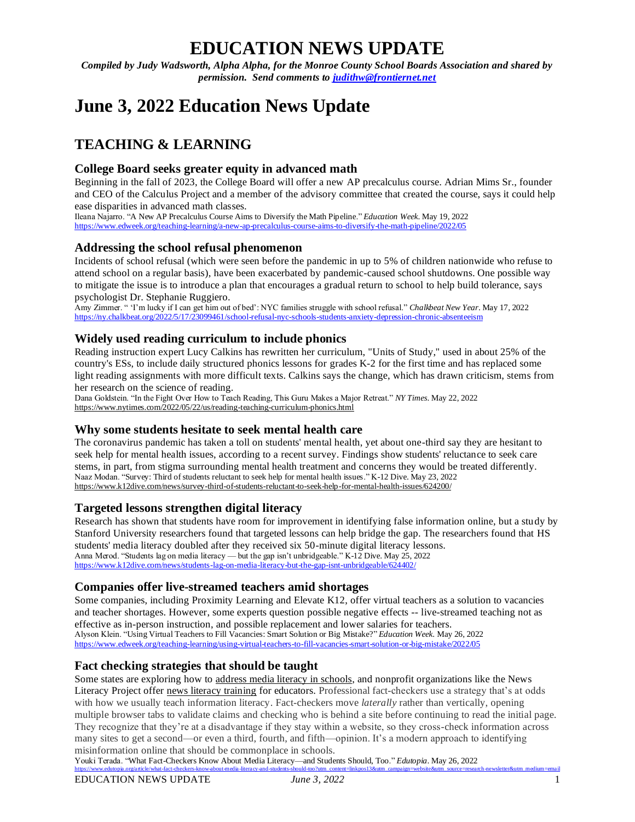# **EDUCATION NEWS UPDATE**

*Compiled by Judy Wadsworth, Alpha Alpha, for the Monroe County School Boards Association and shared by permission. Send comments to [judithw@frontiernet.net](mailto:judithw@frontiernet.net)*

# **June 3, 2022 Education News Update**

# **TEACHING & LEARNING**

# **College Board seeks greater equity in advanced math**

Beginning in the fall of 2023, the College Board will offer a new AP precalculus course. Adrian Mims Sr., founder and CEO of the Calculus Project and a member of the advisory committee that created the course, says it could help ease disparities in advanced math classes.

Ileana Najarro. "A New AP Precalculus Course Aims to Diversify the Math Pipeline." *Education Week*. May 19, 2022 <https://www.edweek.org/teaching-learning/a-new-ap-precalculus-course-aims-to-diversify-the-math-pipeline/2022/05>

# **[Addressing the school refusal phenomenon](http://r.smartbrief.com/resp/pcAHBYketEuasKtEfEdbawfCaFtE?format=multipart)**

Incidents of school refusal (which were seen before the pandemic in up to 5% of children nationwide who refuse to attend school on a regular basis), have been exacerbated by pandemic-caused school shutdowns. One possible way to mitigate the issue is to introduce a plan that encourages a gradual return to school to help build tolerance, says psychologist Dr. Stephanie Ruggiero.

Amy Zimmer. " 'I'm lucky if I can get him out of bed': NYC families struggle with school refusal." *Chalkbeat New Year*. May 17, 2022 <https://ny.chalkbeat.org/2022/5/17/23099461/school-refusal-nyc-schools-students-anxiety-depression-chronic-absenteeism>

#### **Widely used reading curriculum to include phonics**

Reading instruction expert Lucy Calkins has rewritten her curriculum, "Units of Study," used in about 25% of the country's ESs, to include daily structured phonics lessons for grades K-2 for the first time and has replaced some light reading assignments with more difficult texts. Calkins says the change, which has drawn criticism, stems from her research on the science of reading.

Dana Goldstein. "In the Fight Over How to Teach Reading, This Guru Makes a Major Retreat." *NY Times*. May 22, 2022 <https://www.nytimes.com/2022/05/22/us/reading-teaching-curriculum-phonics.html>

# **[Why some students hesitate to seek mental health care](http://r.smartbrief.com/resp/pdlsBYketEuaAjsIfEdbawfChZxk?format=multipart)**

The coronavirus pandemic has taken a toll on students' mental health, yet about one-third say they are hesitant to seek help for mental health issues, according to a recent survey. Findings show students' reluctance to seek care stems, in part, from stigma surrounding mental health treatment and concerns they would be treated differently. Naaz Modan. "Survey: Third of students reluctant to seek help for mental health issues." K-12 Dive. May 23, 2022 <https://www.k12dive.com/news/survey-third-of-students-reluctant-to-seek-help-for-mental-health-issues/624200/>

# **[Targeted lessons strengthen digital literacy](http://r.smartbrief.com/resp/pebdBYketEubjNsIfEdbawfCbKNT?format=multipart)**

Research has shown that students have room for improvement in identifying false information online, but a study by Stanford University researchers found that targeted lessons can help bridge the gap. The researchers found that HS students' media literacy doubled after they received six 50-minute digital literacy lessons. Anna Merod. "Students lag on media literacy — but the gap isn't unbridgeable." K-12 Dive. May 25, 2022 <https://www.k12dive.com/news/students-lag-on-media-literacy-but-the-gap-isnt-unbridgeable/624402/>

#### **[Companies offer live-streamed teachers amid shortages](http://r.smartbrief.com/resp/pebdBYketEubjNuofEdbawfCywoB?format=multipart)**

Some companies, including Proximity Learning and Elevate K12, offer virtual teachers as a solution to vacancies and teacher shortages. However, some experts question possible negative effects -- live-streamed teaching not as effective as in-person instruction, and possible replacement and lower salaries for teachers. Alyson Klein. "Using Virtual Teachers to Fill Vacancies: Smart Solution or Big Mistake?" *Education Week*. May 26, 2022 <https://www.edweek.org/teaching-learning/using-virtual-teachers-to-fill-vacancies-smart-solution-or-big-mistake/2022/05>

# **Fact checking strategies that should be taught**

Some states are exploring how to [address media literacy in schools,](https://thehill.com/changing-america/enrichment/education/598795-media-literacy-is-desperately-needed-in-classrooms/) and nonprofit organizations like the News Literacy Project offer [news literacy training](https://newslit.org/) for educators. Professional fact-checkers use a strategy that's at odds with how we usually teach information literacy. Fact-checkers move *laterally* rather than vertically, opening multiple browser tabs to validate claims and checking who is behind a site before continuing to read the initial page. They recognize that they're at a disadvantage if they stay within a website, so they cross-check information across many sites to get a second—or even a third, fourth, and fifth—opinion. It's a modern approach to identifying misinformation online that should be commonplace in schools.

Youki Terada. "What Fact-Checkers Know About Media Literacy—and Students Should, Too." *Edutopia*. May 26, 2022 [https://www.edutopia.org/article/what-fact-checkers-know-about-media-literacy-and-students-should-too?utm\\_content=linkpos13&utm\\_campaign=website&utm\\_source=research-newsletter&utm\\_medium=email](https://www.edutopia.org/article/what-fact-checkers-know-about-media-literacy-and-students-should-too?utm_content=linkpos13&utm_campaign=website&utm_source=research-newsletter&utm_medium=email)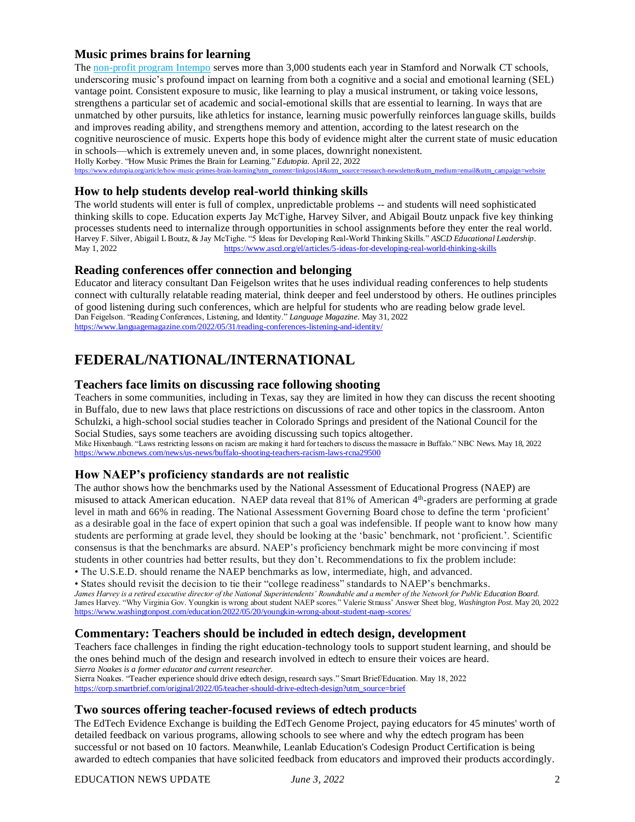# **Music primes brains for learning**

The [non-profit program](https://intempo.org/) Intempo serves more than 3,000 students each year in Stamford and Norwalk CT schools, underscoring music's profound impact on learning from both a cognitive and a social and emotional learning (SEL) vantage point. Consistent exposure to music, like learning to play a musical instrument, or taking voice lessons, strengthens a particular set of academic and social-emotional skills that are essential to learning. In ways that are unmatched by other pursuits, like athletics for instance, learning music powerfully reinforces language skills, builds and improves reading ability, and strengthens memory and attention, according to the latest research on the cognitive neuroscience of music. Experts hope this body of evidence might alter the current state of music education in schools—which is extremely uneven and, in some places, downright nonexistent.

Holly Korbey. "How Music Primes the Brain for Learning." *Edutopia.* April 22, 2022

 $\text{er}\&$ utm\_medium=email $\&$ utm\_campaign=website

#### **How to help students develop real-world thinking skills**

The world students will enter is full of complex, unpredictable problems -- and students will need sophisticated thinking skills to cope. Education experts Jay McTighe, Harvey Silver, and Abigail Boutz unpack five key thinking processes students need to internalize through opportunities in school assignments before they enter the real world. Harvey F. Silver, Abigail L Boutz, & Jay McTighe. "5 Ideas for Developing Real-World Thinking Skills." *ASCD Educational Leadership*. May 1, 2022 https://www.ascd.org/el/articles/5-ideas-for-developing-real-world-thinking-skills

# **Reading conferences offer connection and belonging**

Educator and literacy consultant Dan Feigelson writes that he uses individual reading conferences to help students connect with culturally relatable reading material, think deeper and feel understood by others. He outlines principles of good listening during such conferences, which are helpful for students who are reading below grade level. Dan Feigelson. "Reading Conferences, Listening, and Identity." *Language Magazine*. May 31, 2022 <https://www.languagemagazine.com/2022/05/31/reading-conferences-listening-and-identity/>

# **FEDERAL/NATIONAL/INTERNATIONAL**

#### **[Teachers face limits on discussing race following shooting](http://r.smartbrief.com/resp/pcAHBYketEuasKsIfEdbawfCKhTd?format=multipart)**

Teachers in some communities, including in Texas, say they are limited in how they can discuss the recent shooting in Buffalo, due to new laws that place restrictions on discussions of race and other topics in the classroom. Anton Schulzki, a high-school social studies teacher in Colorado Springs and president of the National Council for the Social Studies, says some teachers are avoiding discussing such topics altogether. Mike Hixenbaugh. "Laws restricting lessons on racism are making it hard for teachers to discuss the massacre in Buffalo." NBC News. May 18, 2022 <https://www.nbcnews.com/news/us-news/buffalo-shooting-teachers-racism-laws-rcna29500>

#### **How NAEP's proficiency standards are not realistic**

The author shows how the benchmarks used by the National Assessment of Educational Progress (NAEP) are misused to attack American education. NAEP data reveal that 81% of American 4<sup>th</sup>-graders are performing at grade level in math and 66% in reading. The National Assessment Governing Board chose to define the term 'proficient' as a desirable goal in the face of expert opinion that such a goal was indefensible. If people want to know how many students are performing at grade level, they should be looking at the 'basic' benchmark, not 'proficient.'. Scientific consensus is that the benchmarks are absurd. NAEP's proficiency benchmark might be more convincing if most students in other countries had better results, but they don't. Recommendations to fix the problem include:

• The U.S.E.D. should rename the NAEP benchmarks as low, intermediate, high, and advanced.

• States should revisit the decision to tie their "college readiness" standards to NAEP's benchmarks. *James Harvey is a retired executive director of the National Superintendents' Roundtable and a member of the Network for Public Education Board.*  James Harvey. "Why Virginia Gov. Youngkin is wrong about student NAEP scores." Valerie Strauss' Answer Sheet blog, *Washington Post*. May 20, 2022 <https://www.washingtonpost.com/education/2022/05/20/youngkin-wrong-about-student-naep-scores/>

#### **Commentary: [Teachers should be included in edtech design, development](http://r.smartbrief.com/resp/pdbyBYketEuauvmwfEdbawcOjOWa?format=multipart)**

Teachers face challenges in finding the right education-technology tools to support student learning, and should be the ones behind much of the design and research involved in edtech to ensure their voices are heard. *Sierra Noakes is a former educator and current researcher.* 

Sierra Noakes. "Teacher experience should drive edtech design, research says." Smart Brief/Education. May 18, 2022 [https://corp.smartbrief.com/original/2022/05/teacher-should-drive-edtech-design?utm\\_source=brief](https://corp.smartbrief.com/original/2022/05/teacher-should-drive-edtech-design?utm_source=brief)

## **Two sources offering teacher-focused reviews of edtech products**

The EdTech Evidence Exchange is building the EdTech Genome Project, paying educators for 45 minutes' worth of detailed feedback on various programs, allowing schools to see where and why the edtech program has been successful or not based on 10 factors. Meanwhile, Leanlab Education's Codesign Product Certification is being awarded to edtech companies that have solicited feedback from educators and improved their products accordingly.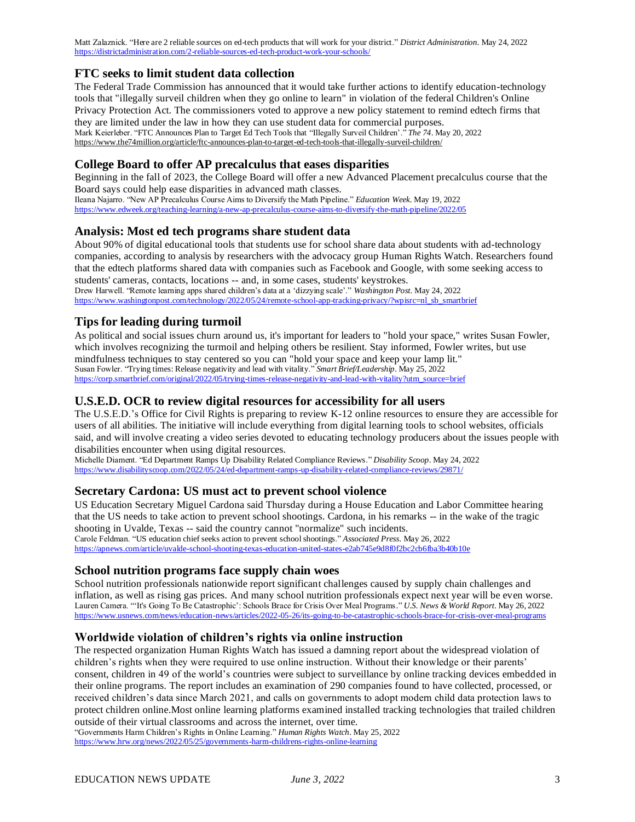Matt Zalaznick. "Here are 2 reliable sources on ed-tech products that will work for your district." *District Administration*. May 24, 2022 <https://districtadministration.com/2-reliable-sources-ed-tech-product-work-your-schools/>

# **FTC seeks [to limit student data collection](http://r.smartbrief.com/resp/pdizBYketEuazdhgfEdbawfCnDWk?format=multipart)**

The Federal Trade Commission has announced that it would take further actions to identify education-technology tools that "illegally surveil children when they go online to learn" in violation of the federal Children's Online Privacy Protection Act. The commissioners voted to approve a new policy statement to remind edtech firms that they are limited under the law in how they can use student data for commercial purposes. Mark Keierleber. "FTC Announces Plan to Target Ed Tech Tools that "Illegally Surveil Children'." *The 74*. May 20, 2022 <https://www.the74million.org/article/ftc-announces-plan-to-target-ed-tech-tools-that-illegally-surveil-children/>

# **College Board to offer AP precalculus that eases disparities**

Beginning in the fall of 2023, the College Board will offer a new Advanced Placement precalculus course that the Board says could help ease disparities in advanced math classes. Ileana Najarro. "New AP Precalculus Course Aims to Diversify the Math Pipeline." *Education Week*. May 19, 2022 <https://www.edweek.org/teaching-learning/a-new-ap-precalculus-course-aims-to-diversify-the-math-pipeline/2022/05>

#### **Analysis: Most ed tech programs share student data**

About 90% of digital educational tools that students use for school share data about students with ad-technology companies, according to analysis by researchers with the advocacy group Human Rights Watch. Researchers found that the edtech platforms shared data with companies such as Facebook and Google, with some seeking access to students' cameras, contacts, locations -- and, in some cases, students' keystrokes. Drew Harwell. "Remote learning apps shared children's data at a 'dizzying scale'." *Washington Post*. May 24, 2022

[https://www.washingtonpost.com/technology/2022/05/24/remote-school-app-tracking-privacy/?wpisrc=nl\\_sb\\_smartbrief](https://www.washingtonpost.com/technology/2022/05/24/remote-school-app-tracking-privacy/?wpisrc=nl_sb_smartbrief)

#### **Tips for leading during turmoil**

As political and social issues churn around us, it's important for leaders to "hold your space," writes Susan Fowler, which involves recognizing the turmoil and helping others be resilient. Stay informed, Fowler writes, but use mindfulness techniques to stay centered so you can "hold your space and keep your lamp lit." Susan Fowler. "Trying times: Release negativity and lead with vitality." *Smart Brief/Leadership*. May 25, 2022 [https://corp.smartbrief.com/original/2022/05/trying-times-release-negativity-and-lead-with-vitality?utm\\_source=brief](https://corp.smartbrief.com/original/2022/05/trying-times-release-negativity-and-lead-with-vitality?utm_source=brief)

# **U.S.E.D. OCR to review digital resources for accessibility for all users**

The U.S.E.D.'s Office for Civil Rights is preparing to review K-12 online resources to ensure they are accessible for users of all abilities. The initiative will include everything from digital learning tools to school websites, officials said, and will involve creating a video series devoted to educating technology producers about the issues people with disabilities encounter when using digital resources.

Michelle Diament. "Ed Department Ramps Up Disability Related Compliance Reviews." *Disability Scoop*. May 24, 2022 <https://www.disabilityscoop.com/2022/05/24/ed-department-ramps-up-disability-related-compliance-reviews/29871/>

#### **Secretary [Cardona: US must act to prevent school violence](http://r.smartbrief.com/resp/pebdBYketEubjNtEfEdbawfCsiou?format=multipart)**

US Education Secretary Miguel Cardona said Thursday during a House Education and Labor Committee hearing that the US needs to take action to prevent school shootings. Cardona, in his remarks -- in the wake of the tragic shooting in Uvalde, Texas -- said the country cannot "normalize" such incidents. Carole Feldman. "US education chief seeks action to prevent school shootings." *Associated Press*. May 26, 2022 <https://apnews.com/article/uvalde-school-shooting-texas-education-united-states-e2ab745e9d8f0f2bc2cb6fba3b40b10e>

#### **[School nutrition programs face supply chain woes](http://r.smartbrief.com/resp/pebdBYketEubjNucfEdbawfCuXhO?format=multipart)**

School nutrition professionals nationwide report significant challenges caused by supply chain challenges and inflation, as well as rising gas prices. And many school nutrition professionals expect next year will be even worse. Lauren Camera. "'It's Going To Be Catastrophic': Schools Brace for Crisis Over Meal Programs." *U.S. News & World Report*. May 26, 2022 <https://www.usnews.com/news/education-news/articles/2022-05-26/its-going-to-be-catastrophic-schools-brace-for-crisis-over-meal-programs>

#### **Worldwide violation of children's rights via online instruction**

The respected organization Human Rights Watch has issued a damning report about the widespread violation of children's rights when they were required to use online instruction. Without their knowledge or their parents' consent, children in 49 of the world's countries were subject to surveillance by online tracking devices embedded in their online programs. The report includes an examination of 290 companies found to have collected, processed, or received children's data since March 2021, and calls on governments to adopt modern child data protection laws to protect children online.Most online learning platforms examined installed tracking technologies that trailed children outside of their virtual classrooms and across the internet, over time.

"Governments Harm Children's Rights in Online Learning." *Human Rights Watch*. May 25, 2022 <https://www.hrw.org/news/2022/05/25/governments-harm-childrens-rights-online-learning>